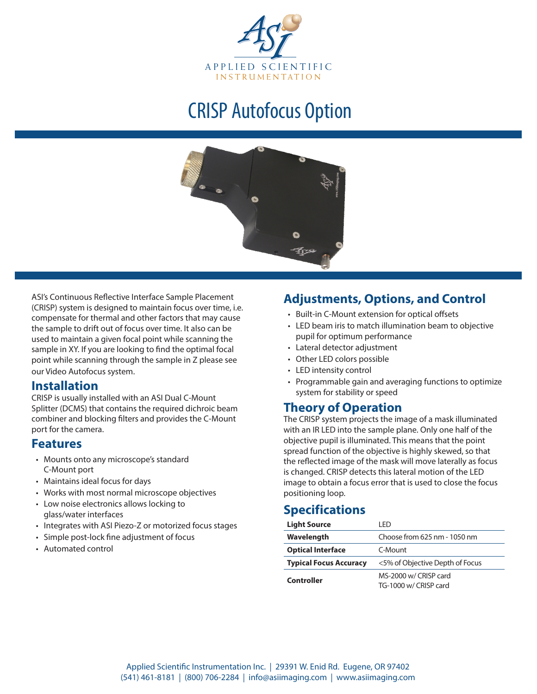

# CRISP Autofocus Option



ASI's Continuous Reflective Interface Sample Placement (CRISP) system is designed to maintain focus over time, i.e. compensate for thermal and other factors that may cause the sample to drift out of focus over time. It also can be used to maintain a given focal point while scanning the sample in XY. If you are looking to find the optimal focal point while scanning through the sample in Z please see our Video Autofocus system.

### **Installation**

CRISP is usually installed with an ASI Dual C-Mount Splitter (DCMS) that contains the required dichroic beam combiner and blocking filters and provides the C-Mount port for the camera.

#### **Features**

- Mounts onto any microscope's standard C-Mount port
- • Maintains ideal focus for days
- • Works with most normal microscope objectives
- • Low noise electronics allows locking to glass/water interfaces
- Integrates with ASI Piezo-Z or motorized focus stages
- • Simple post-lock fine adjustment of focus
- • Automated control

## **Adjustments, Options, and Control**

- • Built-in C-Mount extension for optical offsets
- LED beam iris to match illumination beam to objective pupil for optimum performance
- • Lateral detector adjustment
- Other LED colors possible
- • LED intensity control
- Programmable gain and averaging functions to optimize system for stability or speed

### **Theory of Operation**

The CRISP system projects the image of a mask illuminated with an IR LED into the sample plane. Only one half of the objective pupil is illuminated. This means that the point spread function of the objective is highly skewed, so that the reflected image of the mask will move laterally as focus is changed. CRISP detects this lateral motion of the LED image to obtain a focus error that is used to close the focus positioning loop.

# **Specifications**

| <b>Light Source</b>           | I FD.                           |
|-------------------------------|---------------------------------|
| Wavelength                    | Choose from 625 nm - 1050 nm    |
| <b>Optical Interface</b>      | C-Mount                         |
| <b>Typical Focus Accuracy</b> | <5% of Objective Depth of Focus |
| Controller                    | MS-2000 w/ CRISP card           |
|                               | TG-1000 w/ CRISP card           |